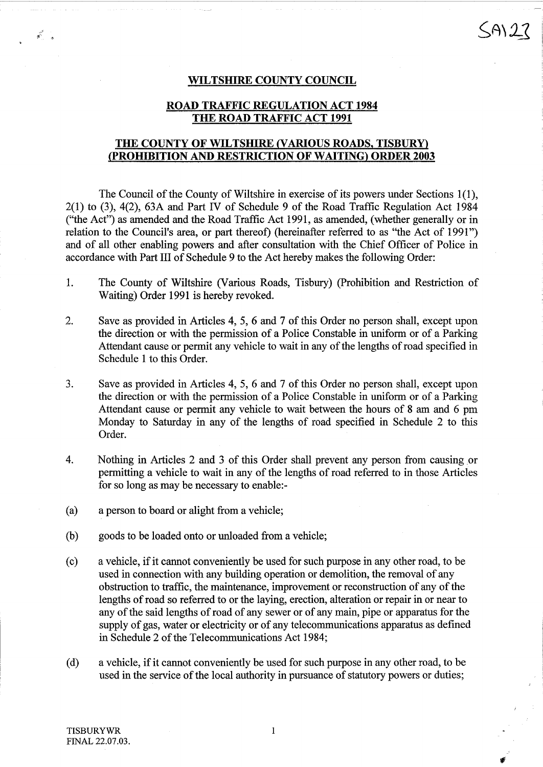#### WILTSHIRE COUNTY COUNCIL

### ROAD TRAFFIC REGULATION ACT <sup>1984</sup> THE ROAD TRAFFIC ACT <sup>1991</sup>

### THE COUNTY OF WILTSHIRE (VARIOUS ROADS, TISBURY) PROHIBITION AND\_RESTRICTION OF WAITING) ORDER <sup>2003</sup>

The Council of the County of Wiltshire in exercise of its powers under Sections 1(1), 2(1) to (3), 4(2), 63A and Part IV of Schedule 9 of the Road Traffic Regulation Act 1984 ("the Act") as amended and the Road Traffic Act 1991, as amended, (whether generally or in relation to the Council's area, or part thereof) (hereinafter referred to as "the Act of 1991") and of all other enabling powers and after consultation with the Chief Officer of Police in accordance with Part III of Schedule 9 to the Act hereby makes the following Order:

- <sup>1</sup> . The County of Wiltshire (Various Roads, Tisbury) (Prohibition and Restriction of Waiting) Order 1991 is hereby revoked.
- 2. Save as provided in Articles 4, 5, 6 and 7 of this Order no person shall, except upon the direction or with the permission of a Police Constable in uniform or of a Parking Attendant cause or permit any vehicle to wait in any of the lengths of road specified in Schedule <sup>1</sup> to this Order.
- <sup>3</sup> . Save as provided in Articles 4, 5, 6 and 7 of this Order no person shall, except upon the direction or with the permission of a Police Constable in uniform or of a Parking Attendant cause or permit any vehicle to wait between the hours of <sup>8</sup> am and 6 pm Monday to Saturday in any of the lengths of road specified in Schedule 2 to this Order.
- 4. Nothing in Articles 2 and 3 of this Order shall prevent any person from causing or permitting a vehicle to wait in any of the lengths of road referred to in those Articles for so long as may be necessary to enable:-
- (a) a person to board or alight from a vehicle;
- (b) goods to be loaded onto or unloaded from a vehicle;
- (c) a vehicle, if it cannot conveniently be used for such purpose in any other road, to be used in connection with any building operation or demolition, the removal of any obstruction to traffic, the maintenance, improvement or reconstruction of any of the lengths of road so referred to or the laying, erection, alteration or repair in or near to any of the said lengths of road of any sewer or of any main, pipe or apparatus for the supply of gas, water or electricity or of any telecommunications apparatus as defined in Schedule 2 of the Telecommunications Act 1984;
- (d) a vehicle, if it cannot conveniently be used for such purpose in any other road, to be used in the service of the local authority in pursuance of statutory powers or duties;

 $\mathbf{a}^{\mathcal{C}}$  .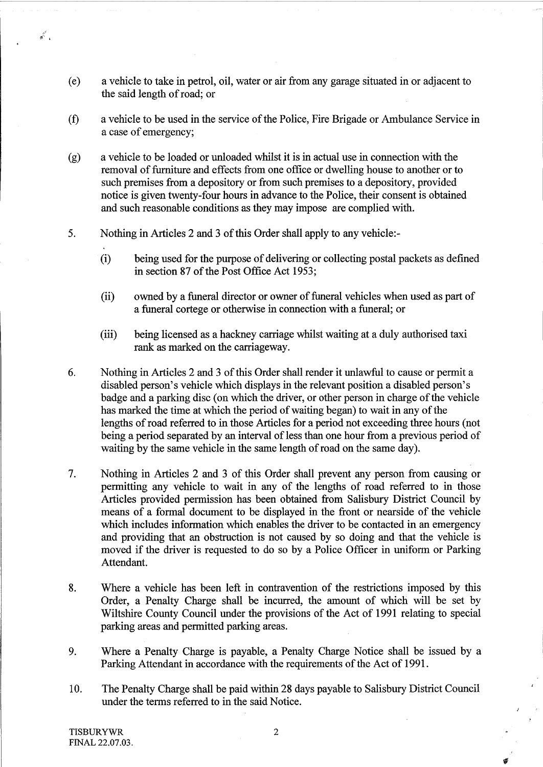- (e) a vehicle to take in petrol, oil, water or air from any garage situated in or adjacent to the said length of road; or
- $(f)$ a vehicle to be used in the service of the Police, Fire Brigade or Ambulance Service in a case of emergency;
- $(g)$ a vehicle to be loaded or unloaded whilst it is in actual use in connection with the removal of furniture and effects from one office or dwelling house to another or to such premises from a depository or from such premises to a depository, provided notice is given twenty-four hours in advance to the Police, their consent is obtained and such reasonable conditions as they may impose are complied with.
- 5. Nothing in Articles 2 and 3 of this Order shall apply to any vehicle:-
	- $(i)$ being used for the purpose of delivering or collecting postal packets as defined in section 87 of the Post Office Act 1953;
	- (ii) owned by a funeral director or owner of funeral vehicles when used as part of a funeral cortege or otherwise in connection with a funeral; or
	- (iii) being licensed as a hackney carriage whilst waiting at a duly authorised taxi rank as marked on the carriageway.
- 6 . Nothing in Articles 2 and 3 ofthis Order shall render it unlawful to cause or permit a disabled person's vehicle which displays in the relevant position a disabled person's badge and a parking disc (on which the driver, or other person in charge of the vehicle has marked the time at which the period of waiting began) to wait in any of the lengths of road referred to in those Articles for a period not exceeding three hours (not being a period separated by an interval of less than one hour from a previous period of waiting by the same vehicle in the same length of road on the same day).
- 7. Nothing in Articles 2 and <sup>3</sup> of this Order shall prevent any person from causing or permitting any vehicle to wait in any of the lengths of road referred to in those Articles provided permission has been obtained from Salisbury District Council by means of a formal document to be displayed in the front or nearside of the vehicle which includes information which enables the driver to be contacted in an emergency and providing that an obstruction is not caused by so doing and that the vehicle is moved if the driver is requested to do so by a Police Officer in uniform or Parking Attendant.
- 8. Where a vehicle has been left in contravention of the restrictions imposed by this Order, a Penalty Charge shall be incurred, the amount of which will be set by Wiltshire County Council under the provisions of the Act of 1991 relating to special parking areas and permitted parking areas.
- 9. Where a Penalty Charge is payable, a Penalty Charge Notice shall be issued by a Parking Attendant in accordance with the requirements of the Act of 1991 .
- 10 . The Penalty Charge shall be paid within 28 days payable to Salisbury District Council under the terms referred to in the said Notice.

 $\vec{x}^{\prime}$  .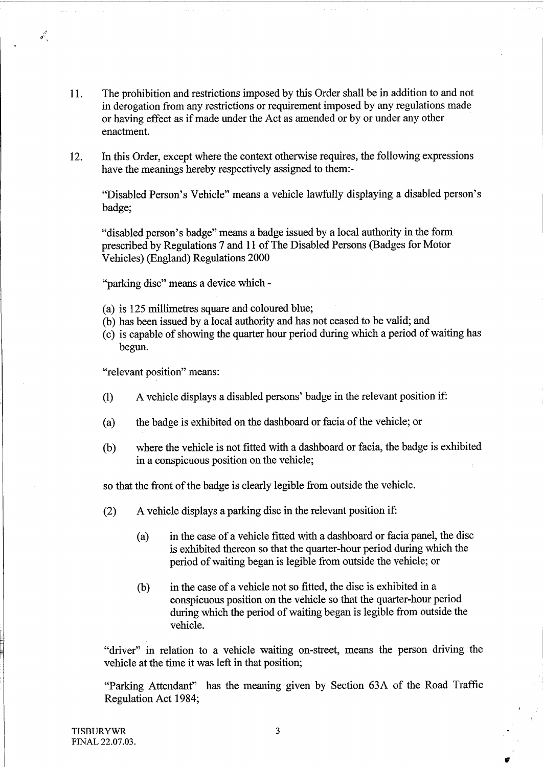- <sup>11</sup> . The prohibition and restrictions imposed by this Order shall be in addition to and not in derogation from any restrictions or requirement imposed by any regulations made or having effect as if made under the Act as amended or by or under any other enactment.
- 12. In this Order, except where the context otherwise requires, the following expressions have the meanings hereby respectively assigned to them:-

"Disabled Person's Vehicle" means <sup>a</sup> vehicle lawfully displaying <sup>a</sup> disabled person's badge;

"disabled person's badge" means a badge issued by a local authority in the form prescribed by Regulations 7 and <sup>11</sup> of The Disabled Persons (Badges for Motor Vehicles) (England) Regulations 2000

"parking disc" means a device which -

- (a) is 125 millimetres square and coloured blue;
- (b) has been issued by a local authority and has not ceased to be valid; and
- (c) is capable of showing the quarter hour period during which a period of waiting has begun.

"relevant position" means:

 $\mathbf{x}^{\mathbf{y}^{\mathbf{y}}}$ 

- (1) A vehicle displays <sup>a</sup> disabled persons' badge in the relevant position if:
- (a) the badge is exhibited on the dashboard or facia of the vehicle; or
- (b) where the vehicle is not fitted with a dashboard or facia, the badge is exhibited in a conspicuous position on the vehicle;

so that the front of the badge is clearly legible from outside the vehicle.

- (2) A vehicle displays <sup>a</sup> parking disc in the relevant position if:
	- (a) in the case of a vehicle fitted with a dashboard or facia panel, the disc is exhibited thereon so that the quarter-hour period during which the period of waiting began is legible from outside the vehicle; or
	- (b) in the case of a vehicle not so fitted, the disc is exhibited in a conspicuous position on the vehicle so that the quarter-hour period during which the period of waiting began is legible from outside the vehicle.

"driver" in relation to a vehicle waiting on-street, means the person driving the vehicle at the time it was left in that position;

"Parking Attendant" has the meaning given by Section 63A of the Road Traffic Regulation Act 1984;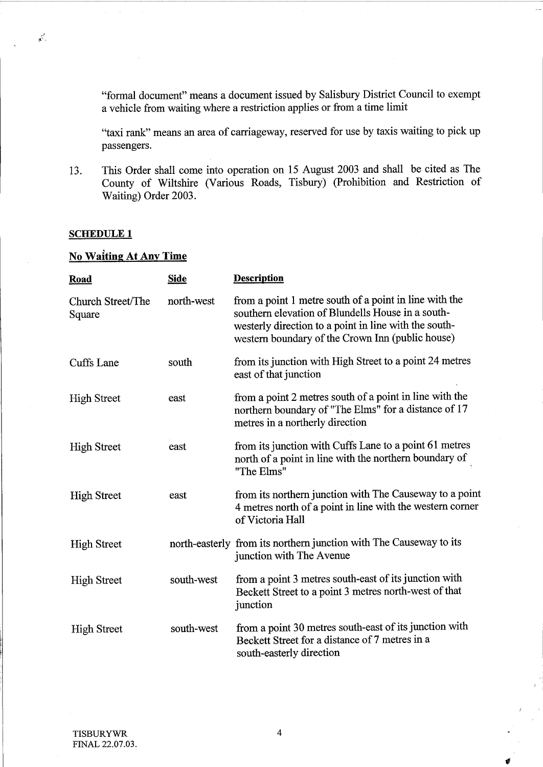"formal document" means a document issued by Salisbury District Council to exempt a vehicle from waiting where a restriction applies or from a time limit

"taxi rank" means an area of carriageway, reserved for use by taxis waiting to pick up passengers.

13. This Order shall come into operation on 15 August 2003 and shall be cited as The County of Wiltshire (Various Roads, Tisbury) (Prohibition and Restriction of Waiting) Order 2003.

#### SCHEDULE <sup>1</sup>

 $\mathbf{x}^{\mathbf{y}^{\mathbf{y}}},$ 

## No Waiting At Any Time

| Road                        | <b>Side</b> | <b>Description</b>                                                                                                                                                                                                       |
|-----------------------------|-------------|--------------------------------------------------------------------------------------------------------------------------------------------------------------------------------------------------------------------------|
| Church Street/The<br>Square | north-west  | from a point 1 metre south of a point in line with the<br>southern elevation of Blundells House in a south-<br>westerly direction to a point in line with the south-<br>western boundary of the Crown Inn (public house) |
| Cuffs Lane                  | south       | from its junction with High Street to a point 24 metres<br>east of that junction                                                                                                                                         |
| <b>High Street</b>          | east        | from a point 2 metres south of a point in line with the<br>northern boundary of "The Elms" for a distance of 17<br>metres in a northerly direction                                                                       |
| <b>High Street</b>          | east        | from its junction with Cuffs Lane to a point 61 metres<br>north of a point in line with the northern boundary of<br>"The Elms"                                                                                           |
| <b>High Street</b>          | east        | from its northern junction with The Causeway to a point<br>4 metres north of a point in line with the western corner<br>of Victoria Hall                                                                                 |
| <b>High Street</b>          |             | north-easterly from its northern junction with The Causeway to its<br>junction with The Avenue                                                                                                                           |
| <b>High Street</b>          | south-west  | from a point 3 metres south-east of its junction with<br>Beckett Street to a point 3 metres north-west of that<br>junction                                                                                               |
| <b>High Street</b>          | south-west  | from a point 30 metres south-east of its junction with<br>Beckett Street for a distance of 7 metres in a<br>south-easterly direction                                                                                     |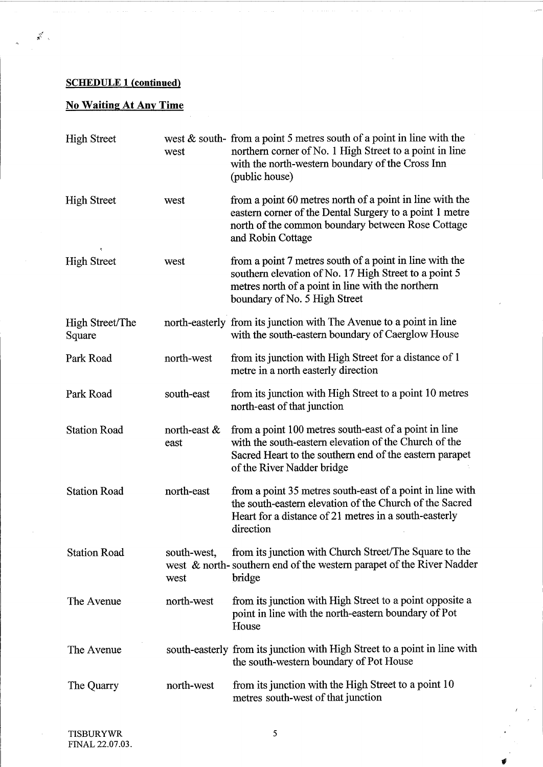## **SCHEDULE 1 (continued)**

 $\mathbf{x}^{\mathcal{S}^{\mathcal{S}}}$  .

# No WaitingAt Any Time

| <b>High Street</b>        | west                    | west $\&$ south-from a point 5 metres south of a point in line with the<br>northern corner of No. 1 High Street to a point in line<br>with the north-western boundary of the Cross Inn<br>(public house) |
|---------------------------|-------------------------|----------------------------------------------------------------------------------------------------------------------------------------------------------------------------------------------------------|
| <b>High Street</b>        | west                    | from a point 60 metres north of a point in line with the<br>eastern corner of the Dental Surgery to a point 1 metre<br>north of the common boundary between Rose Cottage<br>and Robin Cottage            |
| <b>High Street</b>        | west                    | from a point 7 metres south of a point in line with the<br>southern elevation of No. 17 High Street to a point 5<br>metres north of a point in line with the northern<br>boundary of No. 5 High Street   |
| High Street/The<br>Square |                         | north-easterly from its junction with The Avenue to a point in line<br>with the south-eastern boundary of Caerglow House                                                                                 |
| Park Road                 | north-west              | from its junction with High Street for a distance of 1<br>metre in a north easterly direction                                                                                                            |
| Park Road                 | south-east              | from its junction with High Street to a point 10 metres<br>north-east of that junction                                                                                                                   |
| <b>Station Road</b>       | north-east $\&$<br>east | from a point 100 metres south-east of a point in line<br>with the south-eastern elevation of the Church of the<br>Sacred Heart to the southern end of the eastern parapet<br>of the River Nadder bridge  |
| <b>Station Road</b>       | north-east              | from a point 35 metres south-east of a point in line with<br>the south-eastern elevation of the Church of the Sacred<br>Heart for a distance of 21 metres in a south-easterly<br>direction               |
| <b>Station Road</b>       | south-west,<br>west     | from its junction with Church Street/The Square to the<br>west & north-southern end of the western parapet of the River Nadder<br>bridge                                                                 |
| The Avenue                | north-west              | from its junction with High Street to a point opposite a<br>point in line with the north-eastern boundary of Pot<br>House                                                                                |
| The Avenue                |                         | south-easterly from its junction with High Street to a point in line with<br>the south-western boundary of Pot House                                                                                     |
| The Quarry                | north-west              | from its junction with the High Street to a point 10<br>metres south-west of that junction                                                                                                               |

 $\mathcal{V}_\mathrm{c}$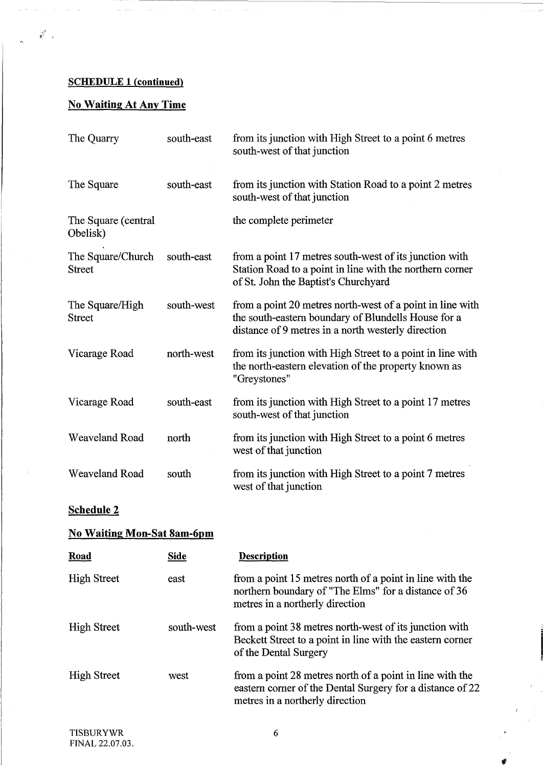## SCHEDULE <sup>I</sup> (continued)

 $\mathbb{R}^{\mathbb{Z}^2}$  .

## No Waiting At Any Time

| The Quarry                         | south-east | from its junction with High Street to a point 6 metres<br>south-west of that junction                                                                                  |
|------------------------------------|------------|------------------------------------------------------------------------------------------------------------------------------------------------------------------------|
| The Square                         | south-east | from its junction with Station Road to a point 2 metres<br>south-west of that junction                                                                                 |
| The Square (central<br>Obelisk)    |            | the complete perimeter                                                                                                                                                 |
| The Square/Church<br><b>Street</b> | south-east | from a point 17 metres south-west of its junction with<br>Station Road to a point in line with the northern corner<br>of St. John the Baptist's Churchyard             |
| The Square/High<br><b>Street</b>   | south-west | from a point 20 metres north-west of a point in line with<br>the south-eastern boundary of Blundells House for a<br>distance of 9 metres in a north westerly direction |
| Vicarage Road                      | north-west | from its junction with High Street to a point in line with<br>the north-eastern elevation of the property known as<br>"Greystones"                                     |
| Vicarage Road                      | south-east | from its junction with High Street to a point 17 metres<br>south-west of that junction                                                                                 |
| <b>Weaveland Road</b>              | north      | from its junction with High Street to a point 6 metres<br>west of that junction                                                                                        |
| Weaveland Road                     | south      | from its junction with High Street to a point 7 metres<br>west of that junction                                                                                        |
| <b>Schedule 2</b>                  |            |                                                                                                                                                                        |

## No Waiting Mon-Sat Sam-6nm

| <b>Road</b>        | Side       | <b>Description</b>                                                                                                                                       |
|--------------------|------------|----------------------------------------------------------------------------------------------------------------------------------------------------------|
| <b>High Street</b> | east       | from a point 15 metres north of a point in line with the<br>northern boundary of "The Elms" for a distance of 36<br>metres in a northerly direction      |
| <b>High Street</b> | south-west | from a point 38 metres north-west of its junction with<br>Beckett Street to a point in line with the eastern corner<br>of the Dental Surgery             |
| <b>High Street</b> | west       | from a point 28 metres north of a point in line with the<br>eastern corner of the Dental Surgery for a distance of 22<br>metres in a northerly direction |